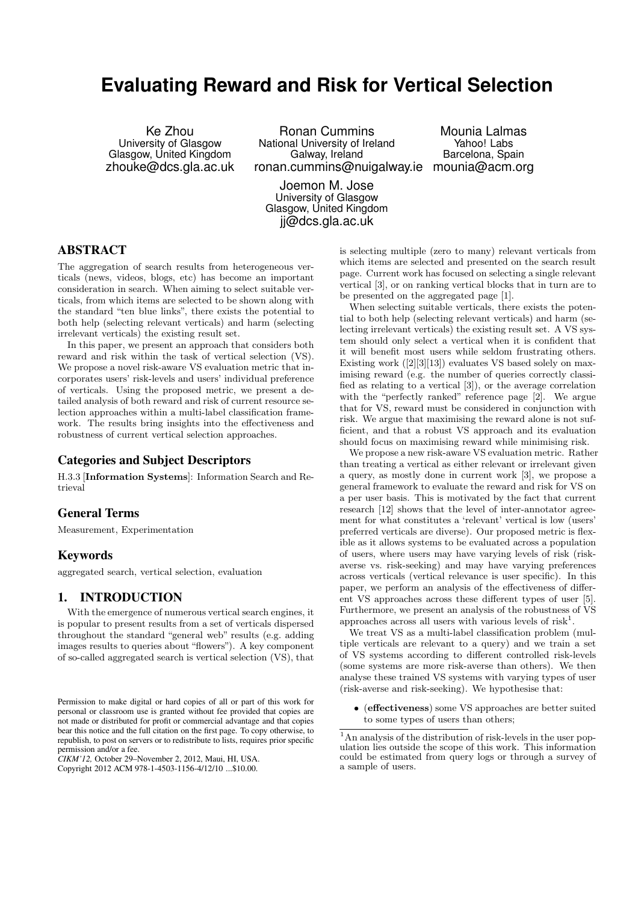# **Evaluating Reward and Risk for Vertical Selection**

Ke Zhou University of Glasgow Glasgow, United Kingdom zhouke@dcs.gla.ac.uk

Ronan Cummins National University of Ireland Galway, Ireland ronan.cummins@nuigalway.ie mounia@acm.org

Mounia Lalmas Yahoo! Labs Barcelona, Spain

Joemon M. Jose University of Glasgow Glasgow, United Kingdom jj@dcs.gla.ac.uk

## **ABSTRACT**

The aggregation of search results from heterogeneous verticals (news, videos, blogs, etc) has become an important consideration in search. When aiming to select suitable verticals, from which items are selected to be shown along with the standard "ten blue links", there exists the potential to both help (selecting relevant verticals) and harm (selecting irrelevant verticals) the existing result set.

In this paper, we present an approach that considers both reward and risk within the task of vertical selection (VS). We propose a novel risk-aware VS evaluation metric that incorporates users' risk-levels and users' individual preference of verticals. Using the proposed metric, we present a detailed analysis of both reward and risk of current resource selection approaches within a multi-label classification framework. The results bring insights into the effectiveness and robustness of current vertical selection approaches.

## **Categories and Subject Descriptors**

H.3.3 [Information Systems]: Information Search and Retrieval

# **General Terms**

Measurement, Experimentation

## **Keywords**

aggregated search, vertical selection, evaluation

# **1. INTRODUCTION**

With the emergence of numerous vertical search engines, it is popular to present results from a set of verticals dispersed throughout the standard "general web" results (e.g. adding images results to queries about "flowers"). A key component of so-called aggregated search is vertical selection (VS), that

*CIKM'12,* October 29–November 2, 2012, Maui, HI, USA.

Copyright 2012 ACM 978-1-4503-1156-4/12/10 ...\$10.00.

is selecting multiple (zero to many) relevant verticals from which items are selected and presented on the search result page. Current work has focused on selecting a single relevant vertical [3], or on ranking vertical blocks that in turn are to be presented on the aggregated page [1].

When selecting suitable verticals, there exists the potential to both help (selecting relevant verticals) and harm (selecting irrelevant verticals) the existing result set. A VS system should only select a vertical when it is confident that it will benefit most users while seldom frustrating others. Existing work ([2][3][13]) evaluates VS based solely on maximising reward (e.g. the number of queries correctly classified as relating to a vertical [3]), or the average correlation with the "perfectly ranked" reference page [2]. We argue that for VS, reward must be considered in conjunction with risk. We argue that maximising the reward alone is not sufficient, and that a robust VS approach and its evaluation should focus on maximising reward while minimising risk.

We propose a new risk-aware VS evaluation metric. Rather than treating a vertical as either relevant or irrelevant given a query, as mostly done in current work [3], we propose a general framework to evaluate the reward and risk for VS on a per user basis. This is motivated by the fact that current research [12] shows that the level of inter-annotator agreement for what constitutes a 'relevant' vertical is low (users' preferred verticals are diverse). Our proposed metric is flexible as it allows systems to be evaluated across a population of users, where users may have varying levels of risk (riskaverse vs. risk-seeking) and may have varying preferences across verticals (vertical relevance is user specific). In this paper, we perform an analysis of the effectiveness of different VS approaches across these different types of user [5]. Furthermore, we present an analysis of the robustness of VS approaches across all users with various levels of risk<sup>1</sup>.

We treat VS as a multi-label classification problem (multiple verticals are relevant to a query) and we train a set of VS systems according to different controlled risk-levels (some systems are more risk-averse than others). We then analyse these trained VS systems with varying types of user (risk-averse and risk-seeking). We hypothesise that:

• (effectiveness) some VS approaches are better suited to some types of users than others;

Permission to make digital or hard copies of all or part of this work for personal or classroom use is granted without fee provided that copies are not made or distributed for profit or commercial advantage and that copies bear this notice and the full citation on the first page. To copy otherwise, to republish, to post on servers or to redistribute to lists, requires prior specific permission and/or a fee.

<sup>1</sup>An analysis of the distribution of risk-levels in the user population lies outside the scope of this work. This information could be estimated from query logs or through a survey of a sample of users.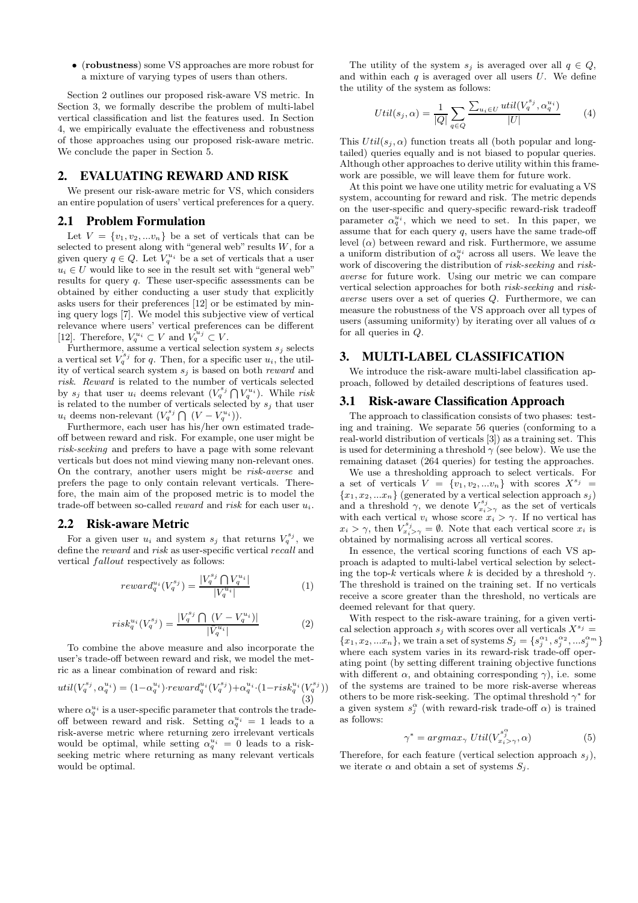• (robustness) some VS approaches are more robust for a mixture of varying types of users than others.

Section 2 outlines our proposed risk-aware VS metric. In Section 3, we formally describe the problem of multi-label vertical classification and list the features used. In Section 4, we empirically evaluate the effectiveness and robustness of those approaches using our proposed risk-aware metric. We conclude the paper in Section 5.

## **2. EVALUATING REWARD AND RISK**

We present our risk-aware metric for VS, which considers an entire population of users' vertical preferences for a query.

#### **2.1 Problem Formulation**

Let  $V = \{v_1, v_2, ... v_n\}$  be a set of verticals that can be selected to present along with "general web" results  $W$ , for a given query  $q \in Q$ . Let  $V_q^{u_i}$  be a set of verticals that a user  $u_i \in U$  would like to see in the result set with "general web" results for query q. These user-specific assessments can be obtained by either conducting a user study that explicitly asks users for their preferences [12] or be estimated by mining query logs [7]. We model this subjective view of vertical relevance where users' vertical preferences can be different [12]. Therefore,  $V_q^{u_i} \subset V$  and  $V_q^{u_j} \subset V$ .

Furthermore, assume a vertical selection system  $s_i$  selects a vertical set  $V_q^{s_j}$  for q. Then, for a specific user  $u_i$ , the utility of vertical search system  $s_i$  is based on both *reward* and risk. Reward is related to the number of verticals selected by  $s_j$  that user  $u_i$  deems relevant  $(V_q^{s_j} \bigcap V_q^{u_i})$ . While risk is related to the number of verticals selected by  $s_j$  that user  $u_i$  deems non-relevant  $(V_q^{s_j} \bigcap (V - V_q^{u_i})).$ 

Furthermore, each user has his/her own estimated tradeoff between reward and risk. For example, one user might be risk-seeking and prefers to have a page with some relevant verticals but does not mind viewing many non-relevant ones. On the contrary, another users might be risk-averse and prefers the page to only contain relevant verticals. Therefore, the main aim of the proposed metric is to model the trade-off between so-called *reward* and *risk* for each user  $u_i$ .

### **2.2 Risk-aware Metric**

For a given user  $u_i$  and system  $s_j$  that returns  $V_q^{s_j}$ , we define the reward and risk as user-specific vertical recall and vertical fallout respectively as follows:

$$
reward_q^{u_i}(V_q^{s_j}) = \frac{|V_q^{s_j} \bigcap V_q^{u_i}|}{|V_q^{u_i}|} \tag{1}
$$

$$
risk_q^{u_i}(V_q^{sj}) = \frac{|V_q^{s_j} \bigcap (V - V_q^{u_i})|}{|\bar{V}_q^{u_i}|} \tag{2}
$$

To combine the above measure and also incorporate the user's trade-off between reward and risk, we model the metric as a linear combination of reward and risk:

$$
util(V_q^{s_j}, \alpha_q^{u_i}) = (1 - \alpha_q^{u_i}) \cdot reward_q^{u_i}(V_q^{s_j}) + \alpha_q^{u_i} \cdot (1 - risk_q^{u_i}(V_q^{s_j}))
$$
\n(3)

where  $\alpha_q^{u_i}$  is a user-specific parameter that controls the tradeoff between reward and risk. Setting  $\alpha_q^{u_i} = 1$  leads to a risk-averse metric where returning zero irrelevant verticals would be optimal, while setting  $\alpha_q^{u_i} = 0$  leads to a riskseeking metric where returning as many relevant verticals would be optimal.

The utility of the system  $s_i$  is averaged over all  $q \in Q$ , and within each  $q$  is averaged over all users  $U$ . We define the utility of the system as follows:

$$
Util(s_j,\alpha) = \frac{1}{|Q|} \sum_{q \in Q} \frac{\sum_{u_i \in U} util(V_q^{s_j}, \alpha_q^{u_i})}{|U|} \tag{4}
$$

This  $Util(s_i, \alpha)$  function treats all (both popular and longtailed) queries equally and is not biased to popular queries. Although other approaches to derive utility within this framework are possible, we will leave them for future work.

At this point we have one utility metric for evaluating a VS system, accounting for reward and risk. The metric depends on the user-specific and query-specific reward-risk tradeoff parameter  $\alpha_q^{u_i}$ , which we need to set. In this paper, we assume that for each query  $q$ , users have the same trade-off level  $(\alpha)$  between reward and risk. Furthermore, we assume a uniform distribution of  $\alpha_q^{u_i}$  across all users. We leave the work of discovering the distribution of risk-seeking and riskaverse for future work. Using our metric we can compare vertical selection approaches for both risk-seeking and riskaverse users over a set of queries Q. Furthermore, we can measure the robustness of the VS approach over all types of users (assuming uniformity) by iterating over all values of  $\alpha$ for all queries in Q.

## **3. MULTI-LABEL CLASSIFICATION**

We introduce the risk-aware multi-label classification approach, followed by detailed descriptions of features used.

#### **3.1 Risk-aware Classification Approach**

The approach to classification consists of two phases: testing and training. We separate 56 queries (conforming to a real-world distribution of verticals [3]) as a training set. This is used for determining a threshold  $\gamma$  (see below). We use the remaining dataset (264 queries) for testing the approaches.

We use a thresholding approach to select verticals. For a set of verticals  $V = \{v_1, v_2, ... v_n\}$  with scores  $X^{s_j} =$  ${x_1, x_2, ... x_n}$  (generated by a vertical selection approach  $s_j$ ) and a threshold  $\gamma$ , we denote  $V_{x_i>\gamma}^{s_j}$  as the set of verticals with each vertical  $v_i$  whose score  $x_i > \gamma$ . If no vertical has  $x_i > \gamma$ , then  $V^{s_j}_{x_i > \gamma} = \emptyset$ . Note that each vertical score  $x_i$  is obtained by normalising across all vertical scores.

In essence, the vertical scoring functions of each VS approach is adapted to multi-label vertical selection by selecting the top-k verticals where k is decided by a threshold  $\gamma$ . The threshold is trained on the training set. If no verticals receive a score greater than the threshold, no verticals are deemed relevant for that query.

With respect to the risk-aware training, for a given vertical selection approach  $s_j$  with scores over all verticals  $X^{s_j} =$  ${x_1, x_2, ... x_n}$ , we train a set of systems  $S_j = \{s_j^{\alpha_1}, s_j^{\alpha_2}, ... s_j^{\alpha_m}\}$ where each system varies in its reward-risk trade-off operating point (by setting different training objective functions with different  $\alpha$ , and obtaining corresponding  $\gamma$ ), i.e. some of the systems are trained to be more risk-averse whereas others to be more risk-seeking. The optimal threshold  $\gamma^*$  for a given system  $s_j^{\alpha}$  (with reward-risk trade-off  $\alpha$ ) is trained as follows:

$$
\gamma^* = argmax_{\gamma} Util(V^{s_j^{\alpha}}_{x_i > \gamma}, \alpha)
$$
\n(5)

Therefore, for each feature (vertical selection approach  $s_i$ ), we iterate  $\alpha$  and obtain a set of systems  $S_j$ .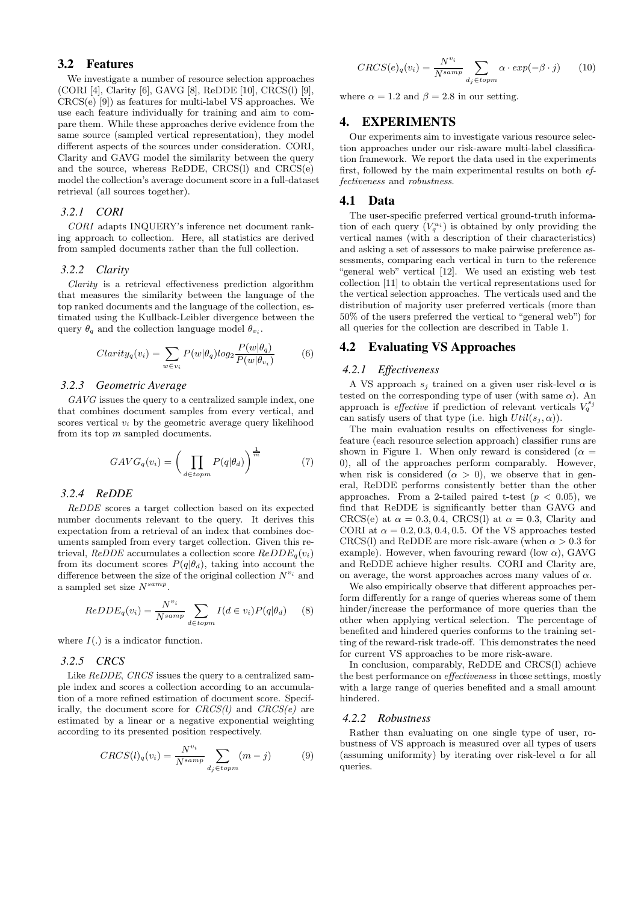# **3.2 Features**

We investigate a number of resource selection approaches (CORI [4], Clarity [6], GAVG [8], ReDDE [10], CRCS(l) [9], CRCS(e) [9]) as features for multi-label VS approaches. We use each feature individually for training and aim to compare them. While these approaches derive evidence from the same source (sampled vertical representation), they model different aspects of the sources under consideration. CORI, Clarity and GAVG model the similarity between the query and the source, whereas ReDDE, CRCS(l) and CRCS(e) model the collection's average document score in a full-dataset retrieval (all sources together).

#### *3.2.1 CORI*

CORI adapts INQUERY's inference net document ranking approach to collection. Here, all statistics are derived from sampled documents rather than the full collection.

#### *3.2.2 Clarity*

Clarity is a retrieval effectiveness prediction algorithm that measures the similarity between the language of the top ranked documents and the language of the collection, estimated using the Kullback-Leibler divergence between the query  $\theta_q$  and the collection language model  $\theta_{v_i}$ .

$$
Clarity_q(v_i) = \sum_{w \in v_i} P(w|\theta_q)log_2 \frac{P(w|\theta_q)}{P(w|\theta_{v_i})}
$$
(6)

## *3.2.3 Geometric Average*

GAVG issues the query to a centralized sample index, one that combines document samples from every vertical, and scores vertical  $v_i$  by the geometric average query likelihood from its top m sampled documents.

$$
GAVG_q(v_i) = \left(\prod_{d \in topm} P(q|\theta_d)\right)^{\frac{1}{m}} \tag{7}
$$

#### *3.2.4 ReDDE*

ReDDE scores a target collection based on its expected number documents relevant to the query. It derives this expectation from a retrieval of an index that combines documents sampled from every target collection. Given this retrieval, ReDDE accumulates a collection score  $ReDDE_q(v_i)$ from its document scores  $P(q|\theta_d)$ , taking into account the difference between the size of the original collection  $N^{v_i}$  and a sampled set size  $N^{samp}$ .

$$
ReDDE_q(v_i) = \frac{N^{v_i}}{N^{samp}} \sum_{d \in topm} I(d \in v_i) P(q|\theta_d) \tag{8}
$$

where  $I(.)$  is a indicator function.

# *3.2.5 CRCS*

Like ReDDE, CRCS issues the query to a centralized sample index and scores a collection according to an accumulation of a more refined estimation of document score. Specifically, the document score for  $CRCS(l)$  and  $CRCS(e)$  are estimated by a linear or a negative exponential weighting according to its presented position respectively.

$$
CRCS(l)_{q}(v_{i}) = \frac{N^{v_{i}}}{N^{samp}} \sum_{d_{j} \in topm} (m-j)
$$
 (9)

$$
CRCS(e)_q(v_i) = \frac{N^{v_i}}{N^{samp}} \sum_{d_j \in topm} \alpha \cdot exp(-\beta \cdot j) \qquad (10)
$$

where  $\alpha = 1.2$  and  $\beta = 2.8$  in our setting.

# **4. EXPERIMENTS**

Our experiments aim to investigate various resource selection approaches under our risk-aware multi-label classification framework. We report the data used in the experiments first, followed by the main experimental results on both effectiveness and robustness.

## **4.1 Data**

The user-specific preferred vertical ground-truth information of each query  $(V_q^{u_i})$  is obtained by only providing the vertical names (with a description of their characteristics) and asking a set of assessors to make pairwise preference assessments, comparing each vertical in turn to the reference "general web" vertical [12]. We used an existing web test collection [11] to obtain the vertical representations used for the vertical selection approaches. The verticals used and the distribution of majority user preferred verticals (more than 50% of the users preferred the vertical to "general web") for all queries for the collection are described in Table 1.

# **4.2 Evaluating VS Approaches**

#### *4.2.1 Effectiveness*

A VS approach  $s_i$  trained on a given user risk-level  $\alpha$  is tested on the corresponding type of user (with same  $\alpha$ ). An approach is *effective* if prediction of relevant verticals  $V_q^{s_j}$ can satisfy users of that type (i.e. high  $Util(s_i, \alpha)$ ).

The main evaluation results on effectiveness for singlefeature (each resource selection approach) classifier runs are shown in Figure 1. When only reward is considered ( $\alpha =$ 0), all of the approaches perform comparably. However, when risk is considered  $(\alpha > 0)$ , we observe that in general, ReDDE performs consistently better than the other approaches. From a 2-tailed paired t-test  $(p < 0.05)$ , we find that ReDDE is significantly better than GAVG and CRCS(e) at  $\alpha = 0.3, 0.4$ , CRCS(l) at  $\alpha = 0.3$ , Clarity and CORI at  $\alpha = 0.2, 0.3, 0.4, 0.5$ . Of the VS approaches tested CRCS(l) and ReDDE are more risk-aware (when  $\alpha > 0.3$  for example). However, when favouring reward (low  $\alpha$ ), GAVG and ReDDE achieve higher results. CORI and Clarity are, on average, the worst approaches across many values of  $\alpha$ .

We also empirically observe that different approaches perform differently for a range of queries whereas some of them hinder/increase the performance of more queries than the other when applying vertical selection. The percentage of benefited and hindered queries conforms to the training setting of the reward-risk trade-off. This demonstrates the need for current VS approaches to be more risk-aware.

In conclusion, comparably, ReDDE and CRCS(l) achieve the best performance on effectiveness in those settings, mostly with a large range of queries benefited and a small amount hindered.

#### *4.2.2 Robustness*

Rather than evaluating on one single type of user, robustness of VS approach is measured over all types of users (assuming uniformity) by iterating over risk-level  $\alpha$  for all queries.